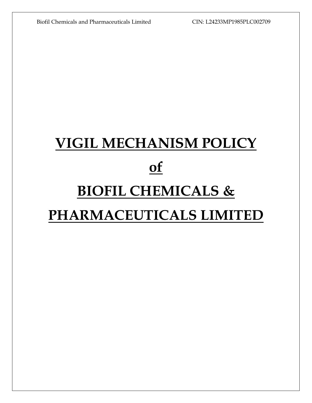# **VIGIL MECHANISM POLICY of BIOFIL CHEMICALS & PHARMACEUTICALS LIMITED**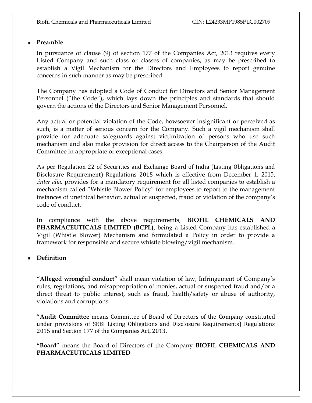#### **Preamble**

In pursuance of clause (9) of section 177 of the Companies Act, 2013 requires every Listed Company and such class or classes of companies, as may be prescribed to establish a Vigil Mechanism for the Directors and Employees to report genuine concerns in such manner as may be prescribed.

The Company has adopted a Code of Conduct for Directors and Senior Management Personnel ("the Code"), which lays down the principles and standards that should govern the actions of the Directors and Senior Management Personnel.

Any actual or potential violation of the Code, howsoever insignificant or perceived as such, is a matter of serious concern for the Company. Such a vigil mechanism shall provide for adequate safeguards against victimization of persons who use such mechanism and also make provision for direct access to the Chairperson of the Audit Committee in appropriate or exceptional cases.

As per Regulation 22 of Securities and Exchange Board of India (Listing Obligations and Disclosure Requirement) Regulations 2015 which is effective from December 1, 2015, ,*inter alia,* provides for a mandatory requirement for all listed companies to establish a mechanism called "Whistle Blower Policy" for employees to report to the management instances of unethical behavior, actual or suspected, fraud or violation of the company's code of conduct.

In compliance with the above requirements, **BIOFIL CHEMICALS AND PHARMACEUTICALS LIMITED (BCPL),** being a Listed Company has established a Vigil (Whistle Blower) Mechanism and formulated a Policy in order to provide a framework for responsible and secure whistle blowing/vigil mechanism.

**Definition**

**"Alleged wrongful conduct"** shall mean violation of law, Infringement of Company's rules, regulations, and misappropriation of monies, actual or suspected fraud and/or a direct threat to public interest, such as fraud, health/safety or abuse of authority, violations and corruptions.

"**Audit Committee** means Committee of Board of Directors of the Company constituted under provisions of SEBI Listing Obligations and Disclosure Requirements) Regulations 2015 and Section 177 of the Companies Act, 2013.

**"Board**" means the Board of Directors of the Company **BIOFIL CHEMICALS AND PHARMACEUTICALS LIMITED**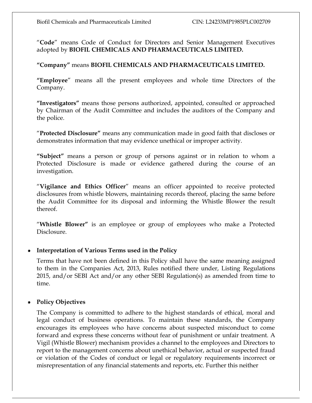"**Code**" means Code of Conduct for Directors and Senior Management Executives adopted by **BIOFIL CHEMICALS AND PHARMACEUTICALS LIMITED.**

**"Company"** means **BIOFIL CHEMICALS AND PHARMACEUTICALS LIMITED.**

**"Employee**" means all the present employees and whole time Directors of the Company.

**"Investigators"** means those persons authorized, appointed, consulted or approached by Chairman of the Audit Committee and includes the auditors of the Company and the police.

"**Protected Disclosure"** means any communication made in good faith that discloses or demonstrates information that may evidence unethical or improper activity.

**"Subject"** means a person or group of persons against or in relation to whom a Protected Disclosure is made or evidence gathered during the course of an investigation.

"**Vigilance and Ethics Officer**" means an officer appointed to receive protected disclosures from whistle blowers, maintaining records thereof, placing the same before the Audit Committee for its disposal and informing the Whistle Blower the result thereof.

"**Whistle Blower"** is an employee or group of employees who make a Protected Disclosure.

# **Interpretation of Various Terms used in the Policy**

Terms that have not been defined in this Policy shall have the same meaning assigned to them in the Companies Act, 2013, Rules notified there under, Listing Regulations 2015, and/or SEBI Act and/or any other SEBI Regulation(s) as amended from time to time.

# **Policy Objectives**

The Company is committed to adhere to the highest standards of ethical, moral and legal conduct of business operations. To maintain these standards, the Company encourages its employees who have concerns about suspected misconduct to come forward and express these concerns without fear of punishment or unfair treatment. A Vigil (Whistle Blower) mechanism provides a channel to the employees and Directors to report to the management concerns about unethical behavior, actual or suspected fraud or violation of the Codes of conduct or legal or regulatory requirements incorrect or misrepresentation of any financial statements and reports, etc. Further this neither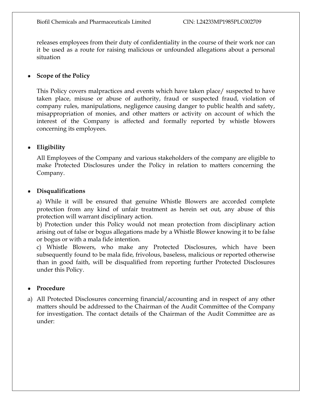releases employees from their duty of confidentiality in the course of their work nor can it be used as a route for raising malicious or unfounded allegations about a personal situation

# **Scope of the Policy**

This Policy covers malpractices and events which have taken place/ suspected to have taken place, misuse or abuse of authority, fraud or suspected fraud, violation of company rules, manipulations, negligence causing danger to public health and safety, misappropriation of monies, and other matters or activity on account of which the interest of the Company is affected and formally reported by whistle blowers concerning its employees.

# **Eligibility**

All Employees of the Company and various stakeholders of the company are eligible to make Protected Disclosures under the Policy in relation to matters concerning the Company.

## **Disqualifications**

a) While it will be ensured that genuine Whistle Blowers are accorded complete protection from any kind of unfair treatment as herein set out, any abuse of this protection will warrant disciplinary action.

b) Protection under this Policy would not mean protection from disciplinary action arising out of false or bogus allegations made by a Whistle Blower knowing it to be false or bogus or with a mala fide intention.

c) Whistle Blowers, who make any Protected Disclosures, which have been subsequently found to be mala fide, frivolous, baseless, malicious or reported otherwise than in good faith, will be disqualified from reporting further Protected Disclosures under this Policy.

# **Procedure**

a) All Protected Disclosures concerning financial/accounting and in respect of any other matters should be addressed to the Chairman of the Audit Committee of the Company for investigation. The contact details of the Chairman of the Audit Committee are as under: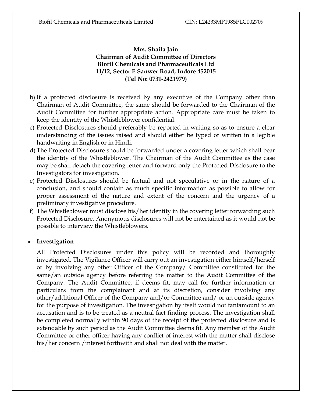# **Mrs. Shaila Jain Chairman of Audit Committee of Directors Biofil Chemicals and Pharmaceuticals Ltd 11/12, Sector E Sanwer Road, Indore 452015 (Tel No: 0731-2421979)**

- b) If a protected disclosure is received by any executive of the Company other than Chairman of Audit Committee, the same should be forwarded to the Chairman of the Audit Committee for further appropriate action. Appropriate care must be taken to keep the identity of the Whistleblower confidential.
- c) Protected Disclosures should preferably be reported in writing so as to ensure a clear understanding of the issues raised and should either be typed or written in a legible handwriting in English or in Hindi.
- d) The Protected Disclosure should be forwarded under a covering letter which shall bear the identity of the Whistleblower. The Chairman of the Audit Committee as the case may be shall detach the covering letter and forward only the Protected Disclosure to the Investigators for investigation.
- e) Protected Disclosures should be factual and not speculative or in the nature of a conclusion, and should contain as much specific information as possible to allow for proper assessment of the nature and extent of the concern and the urgency of a preliminary investigative procedure.
- f) The Whistleblower must disclose his/her identity in the covering letter forwarding such Protected Disclosure. Anonymous disclosures will not be entertained as it would not be possible to interview the Whistleblowers.

#### **Investigation**

All Protected Disclosures under this policy will be recorded and thoroughly investigated. The Vigilance Officer will carry out an investigation either himself/herself or by involving any other Officer of the Company/ Committee constituted for the same/an outside agency before referring the matter to the Audit Committee of the Company. The Audit Committee, if deems fit, may call for further information or particulars from the complainant and at its discretion, consider involving any other/additional Officer of the Company and/or Committee and/ or an outside agency for the purpose of investigation. The investigation by itself would not tantamount to an accusation and is to be treated as a neutral fact finding process. The investigation shall be completed normally within 90 days of the receipt of the protected disclosure and is extendable by such period as the Audit Committee deems fit. Any member of the Audit Committee or other officer having any conflict of interest with the matter shall disclose his/her concern /interest forthwith and shall not deal with the matter.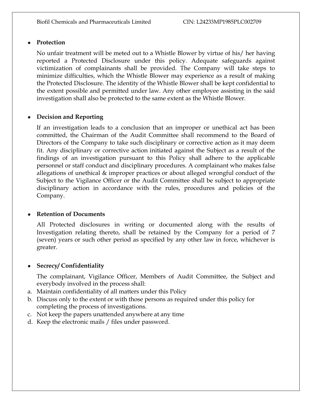# **Protection**

No unfair treatment will be meted out to a Whistle Blower by virtue of his/ her having reported a Protected Disclosure under this policy. Adequate safeguards against victimization of complainants shall be provided. The Company will take steps to minimize difficulties, which the Whistle Blower may experience as a result of making the Protected Disclosure. The identity of the Whistle Blower shall be kept confidential to the extent possible and permitted under law. Any other employee assisting in the said investigation shall also be protected to the same extent as the Whistle Blower.

## **Decision and Reporting**

If an investigation leads to a conclusion that an improper or unethical act has been committed, the Chairman of the Audit Committee shall recommend to the Board of Directors of the Company to take such disciplinary or corrective action as it may deem fit. Any disciplinary or corrective action initiated against the Subject as a result of the findings of an investigation pursuant to this Policy shall adhere to the applicable personnel or staff conduct and disciplinary procedures. A complainant who makes false allegations of unethical & improper practices or about alleged wrongful conduct of the Subject to the Vigilance Officer or the Audit Committee shall be subject to appropriate disciplinary action in accordance with the rules, procedures and policies of the Company.

#### **Retention of Documents**

All Protected disclosures in writing or documented along with the results of Investigation relating thereto, shall be retained by the Company for a period of 7 (seven) years or such other period as specified by any other law in force, whichever is greater.

#### **Secrecy/ Confidentiality**

The complainant, Vigilance Officer, Members of Audit Committee, the Subject and everybody involved in the process shall:

- a. Maintain confidentiality of all matters under this Policy
- b. Discuss only to the extent or with those persons as required under this policy for completing the process of investigations.
- c. Not keep the papers unattended anywhere at any time
- d. Keep the electronic mails / files under password.